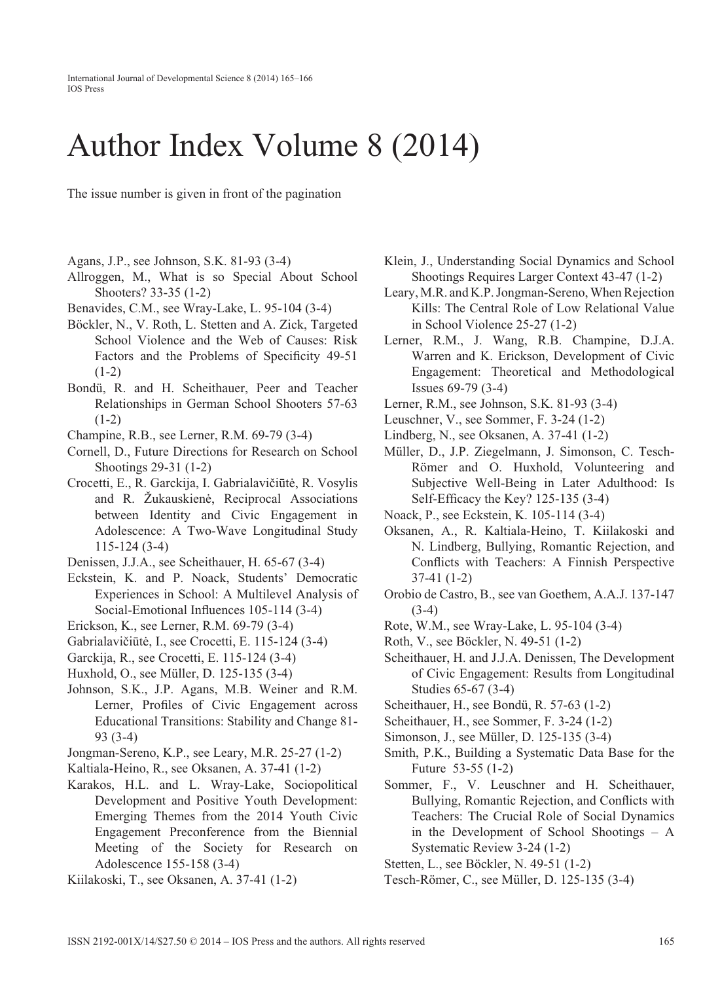International Journal of Developmental Science 8 (2014) 165–166 IOS Press

## Author Index Volume 8 (2014)

The issue number is given in front of the pagination

- Agans, J.P., see Johnson, S.K. 81-93 (3-4)
- Allroggen, M., What is so Special About School Shooters? 33-35 (1-2)
- Benavides, C.M., see Wray-Lake, L. 95-104 (3-4)
- Böckler, N., V. Roth, L. Stetten and A. Zick, Targeted School Violence and the Web of Causes: Risk Factors and the Problems of Specificity 49-51  $(1-2)$
- Bondü, R. and H. Scheithauer, Peer and Teacher Relationships in German School Shooters 57-63  $(1-2)$
- Champine, R.B., see Lerner, R.M. 69-79 (3-4)
- Cornell, D., Future Directions for Research on School Shootings 29-31 (1-2)
- Crocetti, E., R. Garckija, I. Gabrialavičiūtė, R. Vosylis and R. Žukauskienė, Reciprocal Associations between Identity and Civic Engagement in Adolescence: A Two-Wave Longitudinal Study 115-124 (3-4)
- Denissen, J.J.A., see Scheithauer, H. 65-67 (3-4)
- Eckstein, K. and P. Noack, Students' Democratic Experiences in School: A Multilevel Analysis of Social-Emotional Influences 105-114 (3-4)
- Erickson, K., see Lerner, R.M. 69-79 (3-4)
- Gabrialavičiūtė, I., see Crocetti, E. 115-124 (3-4)
- Garckija, R., see Crocetti, E. 115-124 (3-4)
- Huxhold, O., see Müller, D. 125-135 (3-4)
- Johnson, S.K., J.P. Agans, M.B. Weiner and R.M. Lerner, Profiles of Civic Engagement across Educational Transitions: Stability and Change 81- 93 (3-4)
- Jongman-Sereno, K.P., see Leary, M.R. 25-27 (1-2)
- Kaltiala-Heino, R., see Oksanen, A. 37-41 (1-2)
- Karakos, H.L. and L. Wray-Lake, Sociopolitical Development and Positive Youth Development: Emerging Themes from the 2014 Youth Civic Engagement Preconference from the Biennial Meeting of the Society for Research on Adolescence 155-158 (3-4)
- Kiilakoski, T., see Oksanen, A. 37-41 (1-2)
- Klein, J., Understanding Social Dynamics and School Shootings Requires Larger Context 43-47 (1-2)
- Leary, M.R. and K.P. Jongman-Sereno, When Rejection Kills: The Central Role of Low Relational Value in School Violence 25-27 (1-2)
- Lerner, R.M., J. Wang, R.B. Champine, D.J.A. Warren and K. Erickson, Development of Civic Engagement: Theoretical and Methodological Issues 69-79 (3-4)
- Lerner, R.M., see Johnson, S.K. 81-93 (3-4)
- Leuschner, V., see Sommer, F. 3-24 (1-2)
- Lindberg, N., see Oksanen, A. 37-41 (1-2)
- Müller, D., J.P. Ziegelmann, J. Simonson, C. Tesch-Römer and O. Huxhold, Volunteering and Subjective Well-Being in Later Adulthood: Is Self-Efficacy the Key?  $125-135(3-4)$
- Noack, P., see Eckstein, K. 105-114 (3-4)
- Oksanen, A., R. Kaltiala-Heino, T. Kiilakoski and N. Lindberg, Bullying, Romantic Rejection, and Conflicts with Teachers: A Finnish Perspective 37-41 (1-2)
- Orobio de Castro, B., see van Goethem, A.A.J. 137-147 (3-4)
- Rote, W.M., see Wray-Lake, L. 95-104 (3-4)
- Roth, V., see Böckler, N. 49-51 (1-2)
- Scheithauer, H. and J.J.A. Denissen, The Development of Civic Engagement: Results from Longitudinal Studies 65-67 (3-4)
- Scheithauer, H., see Bondü, R. 57-63 (1-2)
- Scheithauer, H., see Sommer, F. 3-24 (1-2)
- Simonson, J., see Müller, D. 125-135 (3-4)
- Smith, P.K., Building a Systematic Data Base for the Future 53-55 (1-2)
- Sommer, F., V. Leuschner and H. Scheithauer, Bullying, Romantic Rejection, and Conflicts with Teachers: The Crucial Role of Social Dynamics in the Development of School Shootings – A Systematic Review 3-24 (1-2)

Stetten, L., see Böckler, N. 49-51 (1-2)

Tesch-Römer, C., see Müller, D. 125-135 (3-4)